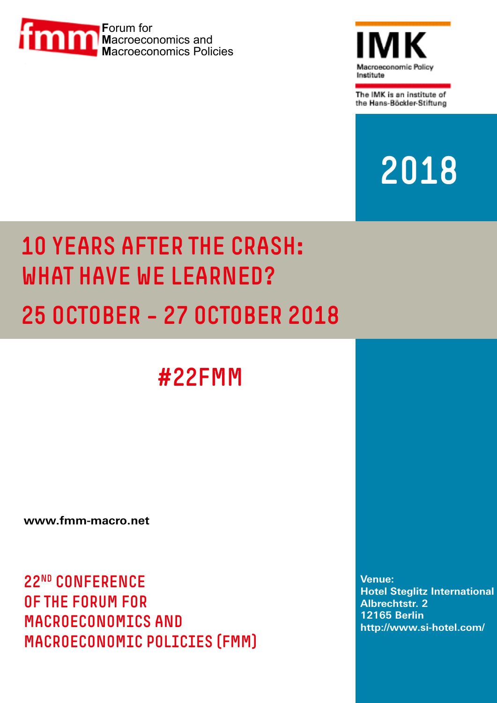



The IMK is an institute of the Hans-Böckler-Stiftung

# 2018

# 10 YEARS AFTER THE CRASH: WHAT HAVE WE LEARNED? 25 OCTOBER – 27 OCTOBER 2018

#22FMM

**<www.fmm-macro.net>**

22nd Conference of the Forum for Macroeconomics and Macroeconomic Policies (FMM)

**Venue: Hotel Steglitz International Albrechtstr. 2 12165 Berlin http://www.si-hotel.com/**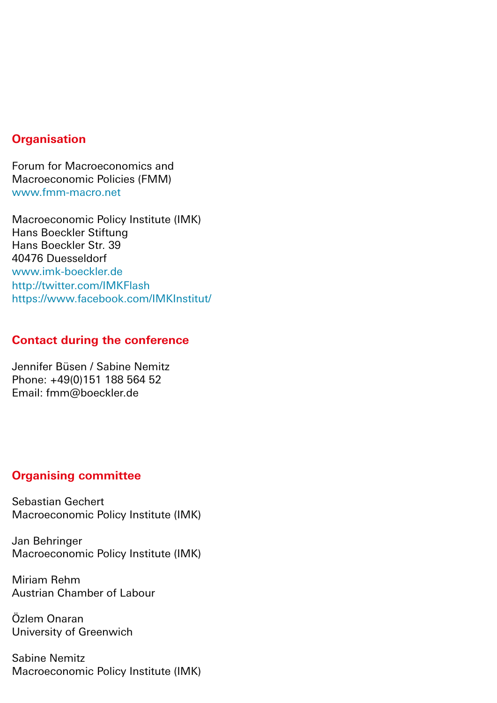### **Organisation**

Forum for Macroeconomics and Macroeconomic Policies (FMM) <www.fmm-macro.net>

Macroeconomic Policy Institute (IMK) Hans Boeckler Stiftung Hans Boeckler Str. 39 40476 Duesseldorf [www.imk-boeckler.de](www.fmm-macro.net) http://twitter.com/IMKFlash https://www.facebook.com/IMKInstitut/

### **Contact during the conference**

Jennifer Büsen / Sabine Nemitz Phone: +49(0)151 188 564 52 Email: [fmm@boeckler.de](mailto:fmm%40boeckler.de?subject=)

### **Organising committee**

Sebastian Gechert Macroeconomic Policy Institute (IMK)

Jan Behringer Macroeconomic Policy Institute (IMK)

Miriam Rehm Austrian Chamber of Labour

Özlem Onaran University of Greenwich

Sabine Nemitz Macroeconomic Policy Institute (IMK)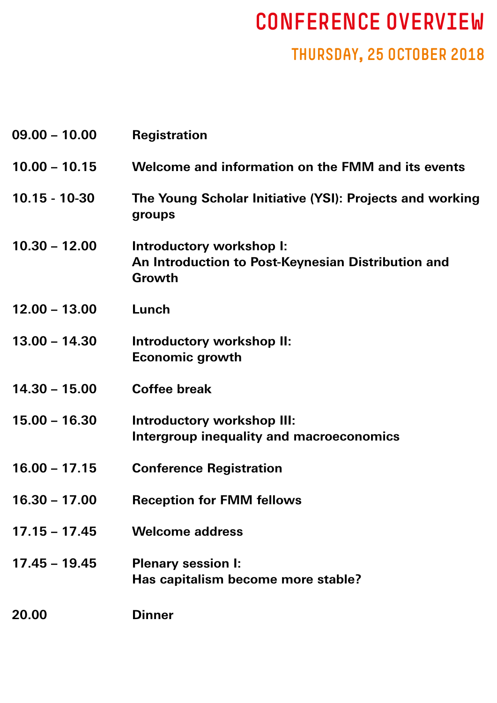# CONFERENCE OVERVIEW

# THURSDAY, 25 OCTOBER 2018

| $09.00 - 10.00$ | <b>Registration</b>                                                                      |
|-----------------|------------------------------------------------------------------------------------------|
| $10.00 - 10.15$ | Welcome and information on the FMM and its events                                        |
| $10.15 - 10-30$ | The Young Scholar Initiative (YSI): Projects and working<br>groups                       |
| $10.30 - 12.00$ | Introductory workshop I:<br>An Introduction to Post-Keynesian Distribution and<br>Growth |
| $12.00 - 13.00$ | Lunch                                                                                    |
| $13.00 - 14.30$ | Introductory workshop II:<br><b>Economic growth</b>                                      |
| $14.30 - 15.00$ | <b>Coffee break</b>                                                                      |
| $15.00 - 16.30$ | Introductory workshop III:<br>Intergroup inequality and macroeconomics                   |
| $16.00 - 17.15$ | <b>Conference Registration</b>                                                           |
| $16.30 - 17.00$ | <b>Reception for FMM fellows</b>                                                         |
| $17.15 - 17.45$ | <b>Welcome address</b>                                                                   |
| $17.45 - 19.45$ | <b>Plenary session I:</b><br>Has capitalism become more stable?                          |
| 20.00           | <b>Dinner</b>                                                                            |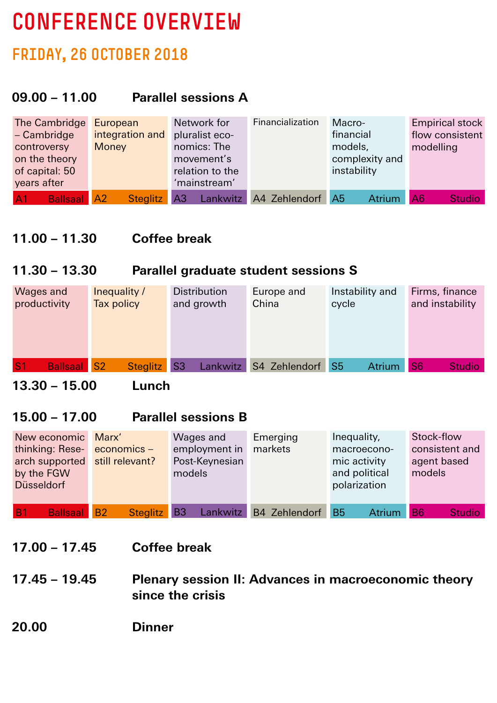# CONFERENCE OVERVIEW

# FRIDAY, 26 OCTOBER 2018

# **09.00 – 11.00 Parallel sessions A**

| The Cambridge                        | European        | Network for                | Financialization | Macro-                          | <b>Empirical stock</b> |
|--------------------------------------|-----------------|----------------------------|------------------|---------------------------------|------------------------|
| $-$ Cambridge                        | integration and | pluralist eco-             |                  | financial                       | flow consistent        |
| controversy                          | <b>Money</b>    | nomics: The                |                  | models,                         | modelling              |
| on the theory                        |                 | movement's                 |                  | complexity and                  |                        |
| of capital: 50                       |                 | relation to the            |                  | instability                     |                        |
| years after                          |                 | 'mainstream'               |                  |                                 |                        |
| <b>Ballsaal A2</b><br>A <sub>1</sub> | <b>Steglitz</b> | A <sub>3</sub><br>Lankwitz | A4 Zehlendorf    | A <sub>5</sub><br><b>Atrium</b> | A6<br><b>Studio</b>    |

## **11.00 – 11.30 Coffee break**

### **11.30 – 13.30 Parallel graduate student sessions S**

| Wages and                            | Inequality / | <b>Distribution</b> | Europe and       | Instability and | Firms, finance                  |
|--------------------------------------|--------------|---------------------|------------------|-----------------|---------------------------------|
| productivity                         | Tax policy   | and growth          | China            | cycle           | and instability                 |
| S <sub>1</sub><br><b>Ballsaal</b> S2 | Steglitz S3  | Lankwitz            | S4 Zehlendorf S5 | <b>Atrium</b>   | S <sub>6</sub><br><b>Studio</b> |

**13.30 – 15.00 Lunch**

## **15.00 – 17.00 Parallel sessions B**

| New economic          | Marx'                    | Wages and      | Emerging      | Inequality,                | Stock-flow                 |
|-----------------------|--------------------------|----------------|---------------|----------------------------|----------------------------|
| thinking: Rese-       | $e$ conomics $-$         | employment in  | markets       | macroecono-                | consistent and             |
| arch supported        | still relevant?          | Post-Keynesian |               | mic activity               | agent based                |
| by the FGW            |                          | models         |               | and political              | models                     |
| <b>Düsseldorf</b>     |                          |                |               | polarization               |                            |
|                       |                          |                |               |                            |                            |
| <b>Ballsaal</b><br>B1 | Steglitz B3<br><b>B2</b> | Lankwitz       | B4 Zehlendorf | <b>B5</b><br><b>Atrium</b> | <b>B6</b><br><b>Studio</b> |

**17.00 – 17.45 Coffee break**

**17.45 – 19.45 Plenary session II: Advances in macroeconomic theory since the crisis**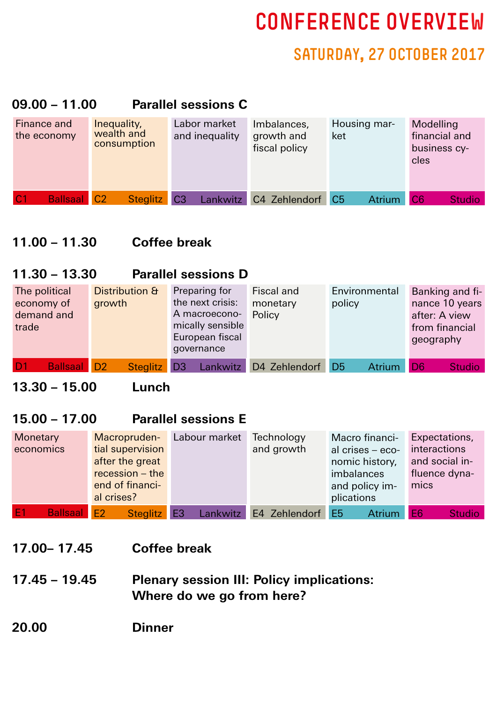# CONFERENCE OVERVIEW

# SATURDAY, 27 OCTOBER 2017

## **09.00 – 11.00 Parallel sessions C**

| Finance and<br>the economy            | Inequality,<br>wealth and<br>consumption | Labor market<br>and inequality | Imbalances,<br>growth and<br>fiscal policy | Housing mar-<br>ket | Modelling<br>financial and<br>business cy-<br>cles |
|---------------------------------------|------------------------------------------|--------------------------------|--------------------------------------------|---------------------|----------------------------------------------------|
| <b>Ballsaal</b> C <sub>2</sub><br> C1 | Steglitz C3                              |                                | Lankwitz C4 Zehlendorf C5                  | <b>Atrium</b>       | C <sub>6</sub><br><b>Studio</b>                    |

## **11.00 – 11.30 Coffee break**

### **11.30 – 13.30 Parallel sessions D**

| The political                        | Distribution &  | Preparing for                     | Fiscal and    | Environmental                   | Banking and fi-                 |
|--------------------------------------|-----------------|-----------------------------------|---------------|---------------------------------|---------------------------------|
| economy of                           | growth          | the next crisis:                  | monetary      | policy                          | nance 10 years                  |
| demand and                           |                 | A macroecono-                     | Policy        |                                 | after: A view                   |
| trade                                |                 | mically sensible                  |               |                                 | from financial                  |
|                                      |                 | European fiscal                   |               |                                 | geography                       |
|                                      |                 | governance                        |               |                                 |                                 |
| D <sub>1</sub><br><b>Ballsaal</b> D2 | <b>Steglitz</b> | <b>Lankwitz</b><br>D <sub>3</sub> | D4 Zehlendorf | D <sub>5</sub><br><b>Atrium</b> | D <sub>6</sub><br><b>Studio</b> |

## **13.30 – 15.00 Lunch**

## **15.00 – 17.00 Parallel sessions E**

| Monetary                              | Macropruden-      | Labour market | Technology    | Macro financi-                  | Expectations,                   |
|---------------------------------------|-------------------|---------------|---------------|---------------------------------|---------------------------------|
| economics                             | tial supervision  |               | and growth    | al crises - eco-                | interactions                    |
|                                       | after the great   |               |               | nomic history,                  | and social in-                  |
|                                       | $recession - the$ |               |               | imbalances                      | fluence dyna-                   |
|                                       | end of financi-   |               |               | and policy im-                  | mics                            |
|                                       | al crises?        |               |               | plications                      |                                 |
| E <sub>1</sub><br><b>Ballsaal E21</b> | Steglitz E3       | Lankwitz      | E4 Zehlendorf | E <sub>5</sub><br><b>Atrium</b> | E <sub>6</sub><br><b>Studio</b> |

- **17.00– 17.45 Coffee break**
- **17.45 19.45 Plenary session III: Policy implications: Where do we go from here?**
- **20.00 Dinner**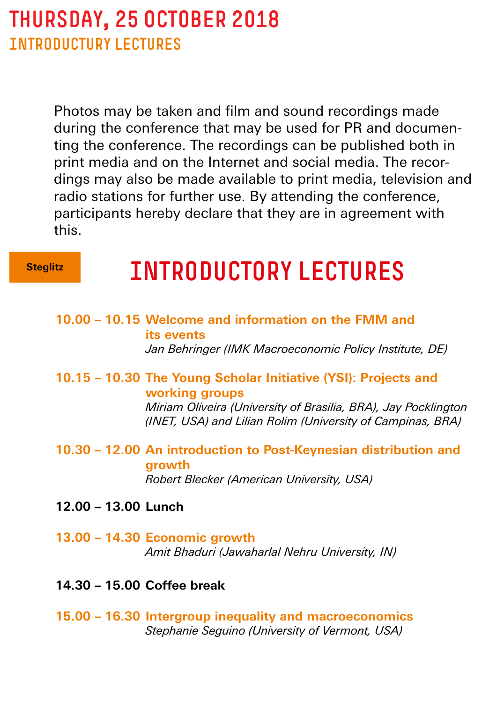# THURSDAY, 25 OCTOBER 2018 INTRODUCTURY LECTURES

Photos may be taken and film and sound recordings made during the conference that may be used for PR and documenting the conference. The recordings can be published both in print media and on the Internet and social media. The recordings may also be made available to print media, television and radio stations for further use. By attending the conference, participants hereby declare that they are in agreement with this.

#### **Steglitz**

# INTRODUCTORY LECTURES

- **10.00 10.15 Welcome and information on the FMM and its events**  *Jan Behringer (IMK Macroeconomic Policy Institute, DE)*
- **10.15 10.30 The Young Scholar Initiative (YSI): Projects and working groups**

 *Miriam Oliveira (University of Brasilia, BRA), Jay Pocklington (INET, USA) and Lilian Rolim (University of Campinas, BRA)*

- **10.30 12.00 An introduction to Post-Keynesian distribution and growth**  *Robert Blecker (American University, USA)*
- **12.00 13.00 Lunch**
- **13.00 14.30 Economic growth**  *Amit Bhaduri (Jawaharlal Nehru University, IN)*
- **14.30 15.00 Coffee break**
- **15.00 16.30 Intergroup inequality and macroeconomics**  *Stephanie Seguino (University of Vermont, USA)*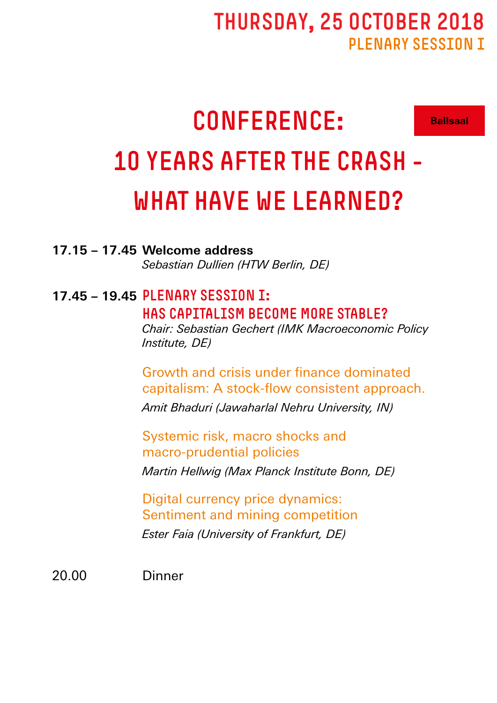# THURSDAY, 25 OCTOBER 2018 PLENARY SESSION T

**Ballsaal**

# CONFERENCE: 10 YEARS AFTER THE CRASH - WHAT HAVE WE LEARNED?

**17.15 – 17.45 Welcome address**

 *Sebastian Dullien (HTW Berlin, DE)*

# **17.45 – 19.45** Plenary session I: Has capitalism become more stable?

 *Chair: Sebastian Gechert (IMK Macroeconomic Policy Institute, DE)*

 Growth and crisis under finance dominated capitalism: A stock-flow consistent approach.  *Amit Bhaduri (Jawaharlal Nehru University, IN)*

 Systemic risk, macro shocks and macro-prudential policies  *Martin Hellwig (Max Planck Institute Bonn, DE)* 

 Digital currency price dynamics: Sentiment and mining competition  *Ester Faia (University of Frankfurt, DE)*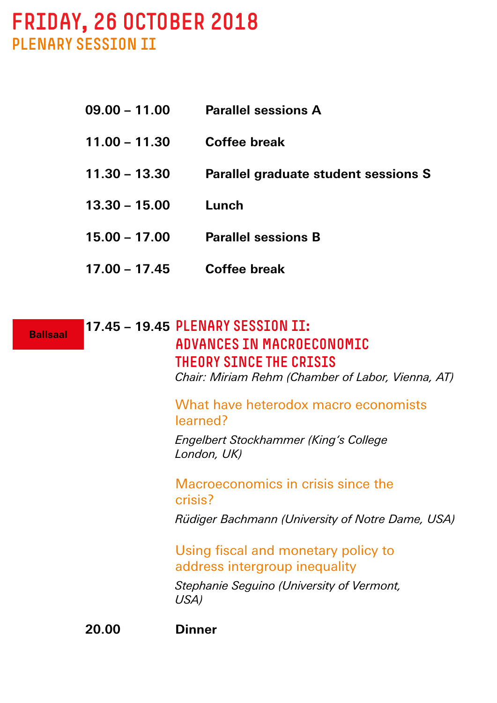# FRIDAY, 26 OCTOBER 2018 PLENARY SESSION II

| $09.00 - 11.00$ | <b>Parallel sessions A</b>                  |
|-----------------|---------------------------------------------|
| $11.00 - 11.30$ | Coffee break                                |
| $11.30 - 13.30$ | <b>Parallel graduate student sessions S</b> |
| $13.30 - 15.00$ | Lunch                                       |
| $15.00 - 17.00$ | <b>Parallel sessions B</b>                  |
| $17.00 - 17.45$ | Coffee break                                |

**17.45 – 19.45** Plenary session II: Advances in macroeconomic theory since the crisis**Ballsaal**

 *Chair: Miriam Rehm (Chamber of Labor, Vienna, AT)*

What have heterodox macro economists learned?

 *Engelbert Stockhammer (King's College London, UK)*

 Macroeconomics in crisis since the crisis?

 *Rüdiger Bachmann (University of Notre Dame, USA)*

 Using fiscal and monetary policy to address intergroup inequality

 *Stephanie Seguino (University of Vermont, USA)*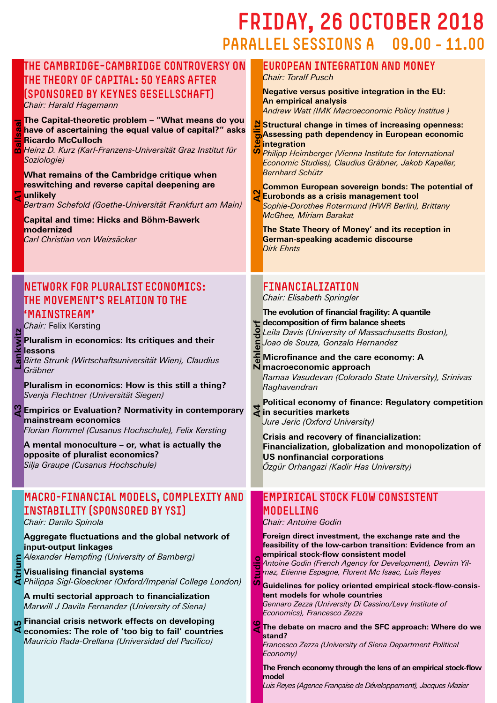# FRIDAY, 26 OCTOBER 2018 PARALLEL SESSIONS A 09.00 - 11.00

### The Cambridge–Cambridge controversy on the theory of capital: 50 years after (sponsored by Keynes Gesellschaft)

*Chair: Harald Hagemann*

#### **The Capital-theoretic problem – "What means do you have of ascertaining the equal value of capital?" asks Ricardo McCulloch**

**A1 Ballsaal**മ് *Heinz D. Kurz (Karl-Franzens-Universität Graz Institut für Soziologie)*

**What remains of the Cambridge critique when reswitching and reverse capital deepening are unlikely**

*Bertram Schefold (Goethe-Universität Frankfurt am Main)*

**Capital and time: Hicks and Böhm-Bawerk modernized** *Carl Christian von Weizsäcker* 

### Network for Pluralist Economics: The Movement's relation to the 'mainstream'

*Chair:* Felix Kersting

Þ

**Pluralism in economics: Its critiques and their lessons A3 Lankwitz**

*Birte Strunk (Wirtschaftsuniversität Wien), Claudius Gräbner*

**Pluralism in economics: How is this still a thing?**  *Svenja Flechtner (Universität Siegen)*

**Empirics or Evaluation? Normativity in contemporary mainstream economics** *Florian Rommel (Cusanus Hochschule), Felix Kersting*

**A mental monoculture – or, what is actually the opposite of pluralist economics?** *Silja Graupe (Cusanus Hochschule)*

### Macro-financial models, complexity and instability (Sponsored by YSI)

*Chair: Danilo Spinola*

#### **Aggregate fluctuations and the global network of input-output linkages**

*Alexander Hempfing (University of Bamberg)*

**Visualising financial systems** *Philippa Sigl-Gloeckner (Oxford/Imperial College London)*

**A multi sectorial approach to financialization**  *Marwill J Davila Fernandez (University of Siena)*

**Financial crisis network effects on developing economies: The role of 'too big to fail' countries** *Mauricio Rada-Orellana (Universidad del Pacifico)* **A5 Atrium**

### European Integration and Money

*Chair: Toralf Pusch*

**Negative versus positive integration in the EU: An empirical analysis** *Andrew Watt (IMK Macroeconomic Policy Institue )*

**Structural change in times of increasing openness: Assessing path dependency in European economic integration A2 Steglitz**

*Philipp Heimberger (Vienna Institute for International Economic Studies), Claudius Gräbner, Jakob Kapeller, Bernhard Schütz*

**Common European sovereign bonds: The potential of Eurobonds as a crisis management tool** *Sophie-Dorothee Rotermund (HWR Berlin), Brittany McGhee, Miriam Barakat*

**The State Theory of Money' and its reception in German-speaking academic discourse** *Dirk Ehnts*

### Financialization

*Chair: Elisabeth Springler*

**The evolution of financial fragility: A quantile the decomposition of firm balance sheets**<br> **decomposition of firm balance sheets** *Leila Davis (University of Massachusetts Boston),*  lend *Joao de Souza, Gonzalo Hernandez*

**A4 Zehlendorf Microfinance and the care economy: A MICromanovense**<br> **N** macroeconomic approach *Ramaa Vasudevan (Colorado State University), Srinivas Raghavendran*

**Political economy of finance: Regulatory competition in securities markets** *Jure Jeric (Oxford University)*

**Crisis and recovery of financialization: Financialization, globalization and monopolization of US nonfinancial corporations** *Özgür Orhangazi (Kadir Has University)*

#### Empirical stock flow consistent MODELL TNG

*Chair: Antoine Godin*

**Foreign direct investment, the exchange rate and the feasibility of the low-carbon transition: Evidence from an empirical stock-flow consistent model**

udio *Antoine Godin (French Agency for Development), Devrim Yilmaz, Etienne Espagne, Florent Mc Isaac, Luis Reyes*

**Guidelines for policy oriented empirical stock-flow-consistent models for whole countries** *Gennaro Zezza (University Di Cassino/Levy Institute of*  **A6 Studio**

*Economics), Francesco Zezza*

<mark>ଓ</mark> **The debate on macro and the SFC approach: Where do we stand?**

*Francesco Zezza (University of Siena Department Political Economy)*

**The French economy through the lens of an empirical stock-flow model**

*Luis Reyes (Agence Française de Développement), Jacques Mazier*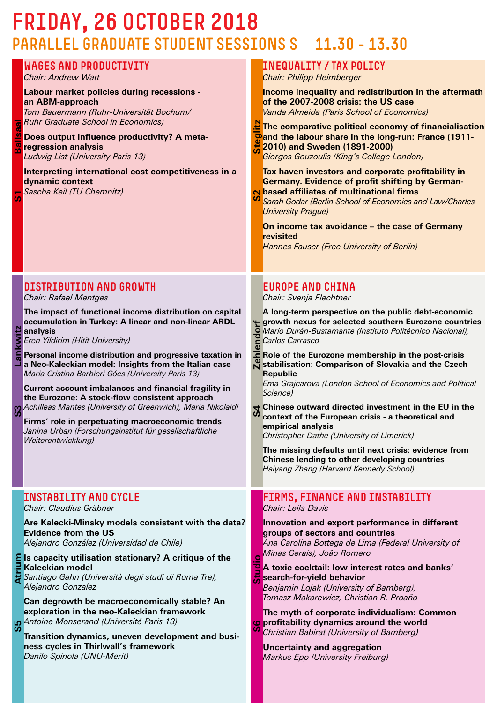# FRIDAY, 26 OCTOBER 2018 PARALLEL GRADUATE STUDENT SESSIONS S 11.30 - 13.30

**S1 Ballsaal**

 $\overline{5}$ 

一个

**S3 Lankwitz**

S3

Lankwitz

**S5 Atrium**

**3S** 

Atrium

| <b>WAGES AND PRODUCTIVITY</b><br>Chair: Andrew Watt<br>Labour market policies during recessions -<br>an ABM-approach<br>Tom Bauermann (Ruhr-Universität Bochum/<br>Ruhr Graduate School in Economics)<br>Does output influence productivity? A meta-<br>regression analysis<br>Ludwig List (University Paris 13)<br>Interpreting international cost competitiveness in a<br>dynamic context<br>Sascha Keil (TU Chemnitz)                                                                                                                                                                                                                                                                                            | <b>INEQUALITY / TAX POLICY</b><br>Chair: Philipp Heimberger<br>Income inequality and redistribution in the aftermath<br>of the 2007-2008 crisis: the US case<br>Vanda Almeida (Paris School of Economics)<br>The comparative political economy of financialisation<br>Dand the labour share in the long-run: France (1911-<br>2010) and Sweden (1891-2000)<br>Giorgos Gouzoulis (King's College London)<br>Tax haven investors and corporate profitability in<br><b>Germany. Evidence of profit shifting by German-</b><br>No based affiliates of multinational firms<br>Sarah Godar (Berlin School of Economics and Law/Charles<br><b>University Prague)</b><br>On income tax avoidance - the case of Germany<br>revisited<br>Hannes Fauser (Free University of Berlin)                                                                                            |
|---------------------------------------------------------------------------------------------------------------------------------------------------------------------------------------------------------------------------------------------------------------------------------------------------------------------------------------------------------------------------------------------------------------------------------------------------------------------------------------------------------------------------------------------------------------------------------------------------------------------------------------------------------------------------------------------------------------------|---------------------------------------------------------------------------------------------------------------------------------------------------------------------------------------------------------------------------------------------------------------------------------------------------------------------------------------------------------------------------------------------------------------------------------------------------------------------------------------------------------------------------------------------------------------------------------------------------------------------------------------------------------------------------------------------------------------------------------------------------------------------------------------------------------------------------------------------------------------------|
| <b>DISTRIBUTION AND GROWTH</b><br>Chair: Rafael Mentges<br>The impact of functional income distribution on capital<br>accumulation in Turkey: A linear and non-linear ARDL<br>analysis<br>Eren Yildirim (Hitit University)<br>Personal income distribution and progressive taxation in<br>a Neo-Kaleckian model: Insights from the Italian case<br>Maria Cristina Barbieri Góes (University Paris 13)<br>Current account imbalances and financial fragility in<br>the Eurozone: A stock-flow consistent approach<br>Achilleas Mantes (University of Greenwich), Maria Nikolaidi<br>Firms' role in perpetuating macroeconomic trends<br>Janina Urban (Forschungsinstitut für gesellschaftliche<br>Weiterentwicklung) | <b>EUROPE AND CHINA</b><br>Chair: Svenja Flechtner<br>A long-term perspective on the public debt-economic<br>growth nexus for selected southern Eurozone countries<br>5 Mario Durán-Bustamante (Instituto Politécnico Nacional),<br>7 Carlos Carrasco<br>5 Carlos Carrasco<br>$\overline{\mathbf{c}}$ Role of the Eurozone membership in the post-crisis<br>stabilisation: Comparison of Slovakia and the Czech<br><b>Republic</b><br>Ema Grajcarova (London School of Economics and Political<br>Science)<br>$\rightarrow$ Chinese outward directed investment in the EU in the<br>S<br>context of the European crisis - a theoretical and<br>empirical analysis<br>Christopher Dathe (University of Limerick)<br>The missing defaults until next crisis: evidence from<br>Chinese lending to other developing countries<br>Haiyang Zhang (Harvard Kennedy School) |
| INSTABILITY AND CYCLE<br>Chair: Claudius Gräbner<br>Are Kalecki-Minsky models consistent with the data?<br><b>Evidence from the US</b><br>Alejandro González (Universidad de Chile)<br>Is capacity utilisation stationary? A critique of the<br>Kaleckian model<br>Santiago Gahn (Università degli studi di Roma Tre),<br>Alejandro Gonzalez<br>Can degrowth be macroeconomically stable? An<br>exploration in the neo-Kaleckian framework<br>Antoine Monserand (Université Paris 13)<br>Transition dynamics, uneven development and busi-<br>ness cycles in Thirlwall's framework<br>Danilo Spinola (UNU-Merit)                                                                                                    | <b>FIRMS, FINANCE AND INSTABILITY</b><br>Chair: Leila Davis<br>Innovation and export performance in different<br>groups of sectors and countries<br>Ana Carolina Bottega de Lima (Federal University of<br>Minas Gerais), João Romero<br>A toxic cocktail: low interest rates and banks'<br>search-for-yield behavior<br>Benjamin Lojak (University of Bamberg),<br>Tomasz Makarewicz, Christian R. Proaño<br>The myth of corporate individualism: Common<br>o profitability dynamics around the world<br>u<br>Christian Babirat (University of Bamberg)<br><b>Uncertainty and aggregation</b><br>Markus Epp (University Freiburg)                                                                                                                                                                                                                                  |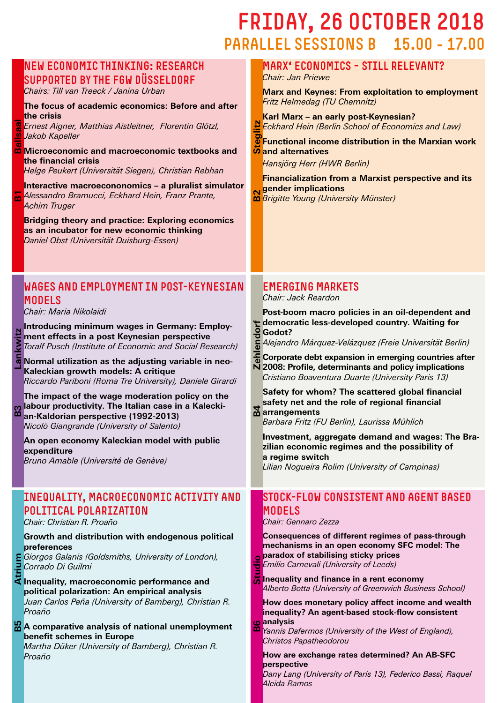# FRIDAY, 26 OCTOBER 2018 PARALLEL SESSIONS B 15.00 - 17.00

### New economic thinking: Research supported by the FGW Düsseldorf

*Chairs: Till van Treeck / Janina Urban*

#### **The focus of academic economics: Before and after the crisis**

*Ernest Aigner, Matthias Aistleitner, Florentin Glötzl, Jakob Kapeller*

**Microeconomic and macroeconomic textbooks and the financial crisis** *Helge Peukert (Universität Siegen), Christian Rebhan* **B1 Ballsaal**

**Interactive macroecononomics – a pluralist simulator** *Alessandro Bramucci, Eckhard Hein, Franz Prante,*  <u>പ്</u> *Achim Truger*

**Bridging theory and practice: Exploring economics as an incubator for new economic thinking** *Daniel Obst (Universität Duisburg-Essen)*

### Wages and employment in post-Keynesian **MODELS**

*Chair: Maria Nikolaidi*

**Introducing minimum wages in Germany: Employ-** $\overline{\mathbf{r}}$ **ment effects in a post Keynesian perspective**  ii<br>Mi *Toralf Pusch (Institute of Economic and Social Research)*

Lan **Normal utilization as the adjusting variable in neo-Kaleckian growth models: A critique** *Riccardo Pariboni (Roma Tre University), Daniele Girardi*

**B3 Lankwitz The impact of the wage moderation policy on the labour productivity. The Italian case in a Kalecki-**B<sub>3</sub> **an-Kaldorian perspective (1992-2013)** *Nicolò Giangrande (University of Salento)*

**An open economy Kaleckian model with public expenditure** *Bruno Amable (Université de Genève)* 

#### Inequality, macroeconomic activity and political polarization

*Chair: Christian R. Proaño*

#### **Growth and distribution with endogenous political preferences**

*Giorgos Galanis (Goldsmiths, University of London), Corrado Di Guilmi* 

**Inequality, macroeconomic performance and political polarization: An empirical analysis** *Juan Carlos Peña (University of Bamberg), Christian R. Proaño* **B5 Atrium**

#### 88 **A comparative analysis of national unemployment benefit schemes in Europe**

*Martha Düker (University of Bamberg), Christian R. Proaño*

#### Marx' economics – still relevant? *Chair: Jan Priewe*

**Marx and Keynes: From exploitation to employment** *Fritz Helmedag (TU Chemnitz)*

**Karl Marx – an early post-Keynesian?** *Eckhard Hein (Berlin School of Economics and Law)*

**Functional income distribution in the Marxian work and Hein (Be**<br> **Step**<br> **Step**<br> **Step**<br> **Steppendives**<br> **Steppendives** 

*Hansjörg Herr (HWR Berlin)*

**Financialization from a Marxist perspective and its gender implications**

**B2** *Brigitte Young (University Münster)*

### Emerging markets

*Chair: Jack Reardon*

**Post-boom macro policies in an oil-dependent and democratic less-developed country. Waiting for Godot?** 

*Alejandro Márquez-Velázquez (Freie Universität Berlin)*

E **Corporate debt expansion in emerging countries after** 

**2008: Profile, determinants and policy implications** *Cristiano Boaventura Duarte (University Paris 13)*

**Safety for whom? The scattered global financial safety net and the role of regional financial arrangements B4 Zehlendorf**

*Barbara Fritz (FU Berlin), Laurissa Mühlich*

**Investment, aggregate demand and wages: The Brazilian economic regimes and the possibility of a regime switch**

*Lilian Nogueira Rolim (University of Campinas)*

#### Stock-flow consistent and agent based MODELS

*Chair: Gennaro Zezza*

 $\overline{\mathbf{C}}$ 

**Consequences of different regimes of pass-through mechanisms in an open economy SFC model: The paradox of stabilising sticky prices** *Emilio Carnevali (University of Leeds)*

Studi **Inequality and finance in a rent economy**  *Alberto Botta (University of Greenwich Business School)*

**How does monetary policy affect income and wealth inequality? An agent-based stock-flow consistent analysis**

**B6 Studio** മ *Yannis Dafermos (University of the West of England), Christos Papatheodorou*

**How are exchange rates determined? An AB-SFC perspective**

*Dany Lang (University of Paris 13), Federico Bassi, Raquel Aleida Ramos*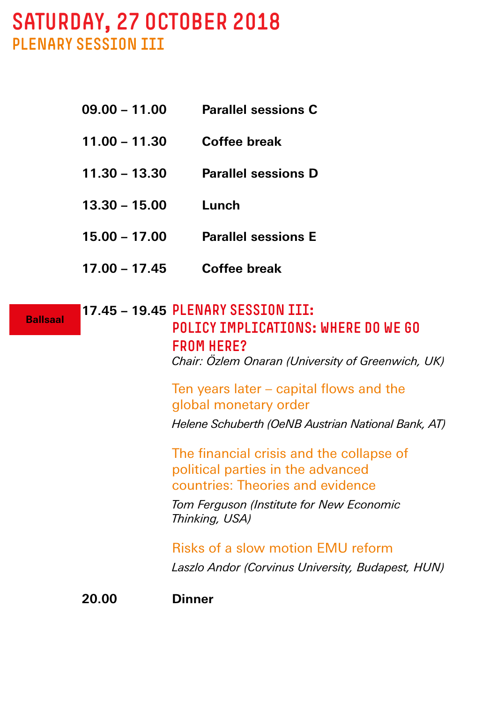# SATURDAY, 27 OCTOBER 2018 PLENARY SESSION III

- **09.00 11.00 Parallel sessions C**
- **11.00 11.30 Coffee break**
- **11.30 13.30 Parallel sessions D**
- **13.30 15.00 Lunch**
- **15.00 17.00 Parallel sessions E**
- **17.00 17.45 Coffee break**

**Ballsaal**

**17.45 – 19.45** Plenary session III: Policy implications: Where do we go FROM HFRF?  *Chair: Özlem Onaran (University of Greenwich, UK)*  Ten years later – capital flows and the global monetary order  *Helene Schuberth (OeNB Austrian National Bank, AT)* The financial crisis and the collapse of political parties in the advanced countries: Theories and evidence  *Tom Ferguson (Institute for New Economic Thinking, USA)*

 Risks of a slow motion EMU reform  *Laszlo Andor (Corvinus University, Budapest, HUN)*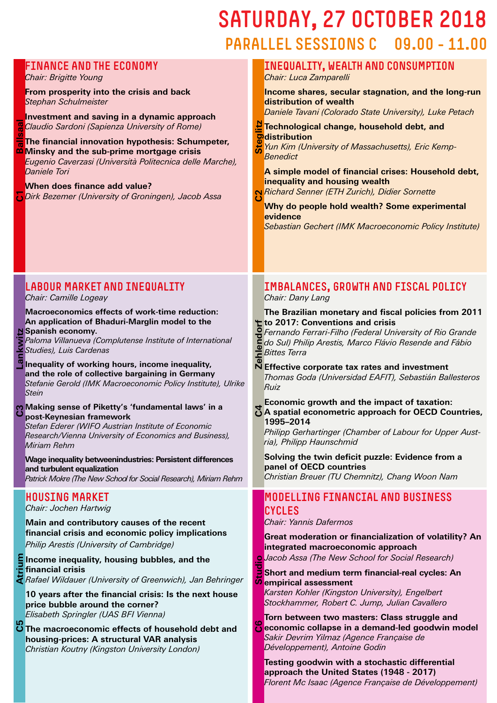# SATURDAY, 27 OCTOBER 2018 PARALLEL SESSIONS C 09.00 - 11.00

#### Finance and the economy Inequality, wealth and consumption *Chair: Brigitte Young Chair: Luca Zamparelli* **From prosperity into the crisis and back Income shares, secular stagnation, and the long-run**  *Stephan Schulmeister* **distribution of wealth**  *Daniele Tavani (Colorado State University), Luke Petach* **Investment and saving in a dynamic approach C2 Steglitz** *Claudio Sardoni (Sapienza University of Rome)* **Technological change, household debt, and distribution The financial innovation hypothesis: Schumpeter,**  *Yun Kim (University of Massachusetts), Eric Kemp*ä **Minsky and the sub-prime mortgage crisis**  *Benedict Eugenio Caverzasi (Università Politecnica delle Marche), Daniele Tori* **A simple model of financial crises: Household debt, inequality and housing wealth When does finance add value?** *Richard Senner (ETH Zurich), Didier Sornette* **C1***Dirk Bezemer (University of Groningen), Jacob Assa* **Ballsaal Why do people hold wealth? Some experimental evidence** *Sebastian Gechert (IMK Macroeconomic Policy Institute)* Labour market and inequality Imbalances, growth and fiscal policy *Chair: Camille Logeay Chair: Dany Lang* **to 2017: Conventions and fiscal to 2017: Conventions and crisis**<br>**P** Fernando Ferrari Fill **Macroeconomics effects of work-time reduction: The Brazilian monetary and fiscal policies from 2011 An application of Bhaduri-Marglin model to the C4 Zehlendorf N** Spanish economy. *Fernando Ferrari-Filho (Federal University of Rio Grande Studies), Luis Cardenas Paloma Villanueva (Complutense Institute of International do Sul) Philip Arestis, Marco Flávio Resende and Fábio*  En *Bittes Terra* **Inequality of working hours, income inequality, Effective corporate tax rates and investment and the role of collective bargaining in Germany** *Thomas Goda (Universidad EAFIT), Sebastián Ballesteros Stefanie Gerold (IMK Macroeconomic Policy Institute), Ulrike Ruiz Stein* **Making sense of Piketty's 'fundamental laws' in a Economic growth and the impact of taxation: A spatial econometric approach for OECD Countries, post-Keynesian framework 1995–2014** *Stefan Ederer (WIFO Austrian Institute of Economic Philipp Gerhartinger (Chamber of Labour for Upper Aust-Research/Vienna University of Economics and Business), ria), Philipp Haunschmid Miriam Rehm* **Solving the twin deficit puzzle: Evidence from a Wage inequality betweenindustries: Persistent differences panel of OECD countries and turbulent equalization** *Christian Breuer (TU Chemnitz), Chang Woon Nam Patrick Mokre (The New School for Social Research), Miriam Rehm* Modelling financial and business Housing market *Chair: Jochen Hartwig* **CYCLES** *Chair: Yannis Dafermos* **Main and contributory causes of the recent financial crisis and economic policy implications Great moderation or financialization of volatility? An**  *Philip Arestis (University of Cambridge)* **integrated macroeconomic approach** *Jacob Assa (The New School for Social Research)*  $\circ$ **Income inequality, housing bubbles, and the C6 Studio financial crisis Short and medium term financial-real cycles: An**  ā *Rafael Wildauer (University of Greenwich), Jan Behringer* **empirical assessment**  *Karsten Kohler (Kingston University), Engelbert*  **10 years after the financial crisis: Is the next house**  *Stockhammer, Robert C. Jump, Julian Cavallero* **price bubble around the corner?** *Elisabeth Springler (UAS BFI Vienna)* **Torn between two masters: Class struggle and The macroeconomic effects of household debt and** Ġ **economic collapse in a demand-led goodwin model** *Sakir Devrim Yilmaz (Agence Française de*  **housing-prices: A structural VAR analysis**  *Développement), Antoine Godin Christian Koutny (Kingston University London)* **Testing goodwin with a stochastic differential approach the United States (1948 - 2017)**

**C3 Lankwitz**

Lan

**C5 Atrium**

*Florent Mc Isaac (Agence Française de Développement)*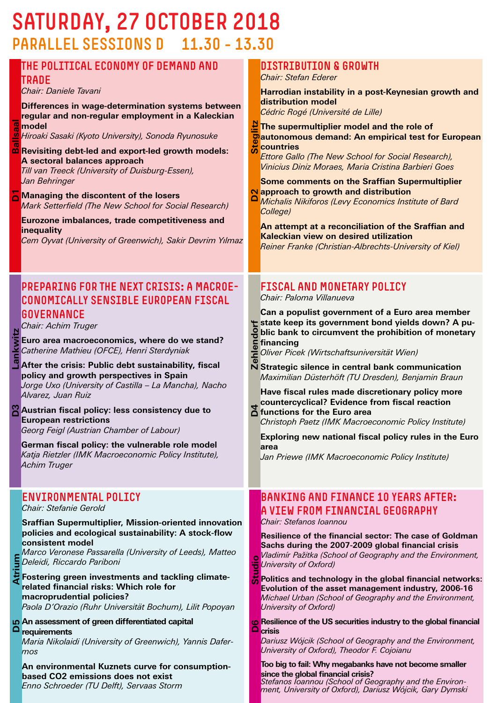# SATURDAY, 27 OCTOBER 2018 PARALLEL SESSIONS D 11.30 - 13.30

|              | ---------                                                                                                                                                                                                                                                                                                                                                                                                                                                                                                                                                                                                                                                                     |                    |                                                                                                                                                                                                                                                                                                                                                                                                                                                                                                                                                                                                                                                                                                                                                                                         |
|--------------|-------------------------------------------------------------------------------------------------------------------------------------------------------------------------------------------------------------------------------------------------------------------------------------------------------------------------------------------------------------------------------------------------------------------------------------------------------------------------------------------------------------------------------------------------------------------------------------------------------------------------------------------------------------------------------|--------------------|-----------------------------------------------------------------------------------------------------------------------------------------------------------------------------------------------------------------------------------------------------------------------------------------------------------------------------------------------------------------------------------------------------------------------------------------------------------------------------------------------------------------------------------------------------------------------------------------------------------------------------------------------------------------------------------------------------------------------------------------------------------------------------------------|
| <b>Isaal</b> | THE POLITICAL ECONOMY OF DEMAND AND<br><b>TRADE</b><br>Chair: Daniele Tavani<br>Differences in wage-determination systems between<br>regular and non-regular employment in a Kaleckian<br>model<br>Hiroaki Sasaki (Kyoto University), Sonoda Ryunosuke<br><b>n</b> Revisiting debt-led and export-led growth models:<br>A sectoral balances approach<br>Till van Treeck (University of Duisburg-Essen),<br>Jan Behringer<br>Managing the discontent of the losers<br>Mark Setterfield (The New School for Social Research)<br>Eurozone imbalances, trade competitiveness and<br>inequality<br>Cem Oyvat (University of Greenwich), Sakir Devrim Yılmaz                        |                    | <b>DISTRIBUTION &amp; GROWTH</b><br>Chair: Stefan Ederer<br>Harrodian instability in a post-Keynesian growth and<br>distribution model<br>Cédric Rogé (Université de Lille)<br>The supermultiplier model and the role of<br><b>O</b> autonomous demand: An empirical test for European<br>countries<br><b>Ettore Gallo (The New School for Social Research),</b><br>Vinicius Diniz Moraes, Maria Cristina Barbieri Goes<br><b>Some comments on the Sraffian Supermultiplier</b><br>Napproach to growth and distribution<br>Michalis Nikiforos (Levy Economics Institute of Bard<br>College)<br>An attempt at a reconciliation of the Sraffian and<br>Kaleckian view on desired utilization<br>Reiner Franke (Christian-Albrechts-University of Kiel)                                    |
|              | <b>PREPARING FOR THE NEXT CRISIS: A MACROE-</b><br>CONOMICALLY SENSIBLE EUROPEAN FISCAL<br>GOVERNANCE<br>Chair: Achim Truger<br>Euro area macroeconomics, where do we stand?<br>Catherine Mathieu (OFCE), Henri Sterdyniak<br>After the crisis: Public debt sustainability, fiscal<br>policy and growth perspectives in Spain<br>Jorge Uxo (University of Castilla - La Mancha), Nacho<br>Alvarez, Juan Ruiz<br>Austrian fiscal policy: less consistency due to<br><b>European restrictions</b><br>Georg Feigl (Austrian Chamber of Labour)<br>German fiscal policy: the vulnerable role model<br>Katja Rietzler (IMK Macroeconomic Policy Institute),<br><b>Achim Truger</b> |                    | <b>FISCAL AND MONETARY POLICY</b><br>Chair: Paloma Villanueva<br>Can a populist government of a Euro area member<br>state keep its government bond yields down? A pu-<br><b>Solutional state of the prohibition</b><br><b>Solution</b><br><b>Soliver Picek (Wirtschaftsuniversität Wien)</b><br>blic bank to circumvent the prohibition of monetary<br>N Strategic silence in central bank communication<br>Maximilian Düsterhöft (TU Dresden), Benjamin Braun<br>Have fiscal rules made discretionary policy more<br>countercyclical? Evidence from fiscal reaction<br>$\sum$ functions for the Euro area<br>Christoph Paetz (IMK Macroeconomic Policy Institute)<br>Exploring new national fiscal policy rules in the Euro<br>area<br>Jan Priewe (IMK Macroeconomic Policy Institute) |
| e            | <b>ENVIRONMENTAL POLICY</b><br>Chair: Stefanie Gerold<br><b>Sraffian Supermultiplier, Mission-oriented innovation</b><br>policies and ecological sustainability: A stock-flow<br>consistent model<br>Marco Veronese Passarella (University of Leeds), Matteo<br>Deleidi, Riccardo Pariboni<br>Fostering green investments and tackling climate-<br>related financial risks: Which role for<br>macroprudential policies?<br>Paola D'Orazio (Ruhr Universität Bochum), Lilit Popoyan<br>o An assessment of green differentiated capital<br>requirements<br>Maria Nikolaidi (University of Greenwich), Yannis Dafer-<br>mos<br>An environmental Kuznets curve for consumption-   | <b>Studio</b><br>▭ | <b>BANKING AND FINANCE 10 YEARS AFTER:</b><br>IA VIEW FROM FINANCIAL GEOGRAPHY<br>Chair: Stefanos Ioannou<br>Resilience of the financial sector: The case of Goldman<br>Sachs during the 2007-2009 global financial crisis<br>Vladimír Pažitka (School of Geography and the Environment,<br>University of Oxford)<br>Politics and technology in the global financial networks:<br>Evolution of the asset management industry, 2006-16<br>Michael Urban (School of Geography and the Environment,<br>University of Oxford)<br>Resilience of the US securities industry to the global financial<br>crisis<br>Dariusz Wójcik (School of Geography and the Environment,<br>University of Oxford), Theodor F. Cojoianu<br>Too big to fail: Why megabanks have not become smaller             |

**based CO2 emissions does not exist** *Enno Schroeder (TU Delft), Servaas Storm* **since the global financial crisis?** *Stefanos Ioannou (School of Geography and the Environ- ment, University of Oxford), Dariusz Wójcik, Gary Dymski*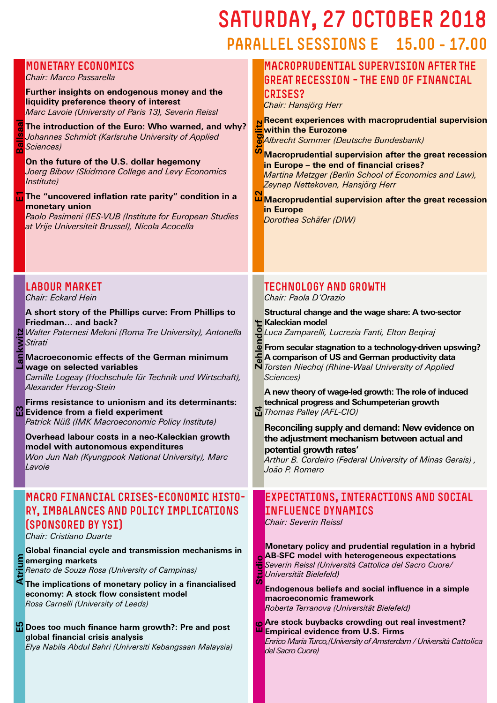# SATURDAY, 27 OCTOBER 2018 PARALLEL SESSIONS E 15.00 - 17.00

Macroprudential supervision after the

#### **liquidity preference theory of interest** *Marc Lavoie (University of Paris 13), Severin Reissl* **E6 Studio E2 Steglitz The introduction of the Euro: Who warned, and why?** *Johannes Schmidt (Karlsruhe University of Applied Sciences)* **On the future of the U.S. dollar hegemony** *Joerg Bibow (Skidmore College and Levy Economics Institute)* **The "uncovered inflation rate parity" condition in a monetary union in Europe** *Paolo Pasimeni (IES-VUB (Institute for European Studies at Vrije Universiteit Brussel), Nicola Acocella*  Labour market *Chair: Eckard Hein* **Kaleckian model**<br> **Kaleckian model**<br> **G** Luca Zame **A short story of the Phillips curve: From Phillips to Friedman… and back? E4 Zehlendorf** *Walter Paternesi Meloni (Roma Tre University), Antonella Stirati* **Macroeconomic effects of the German minimum wage on selected variables** *Camille Logeay (Hochschule für Technik und Wirtschaft), Sciences) Alexander Herzog-Stein* **Firms resistance to unionism and its determinants: Evidence from a field experiment** *Patrick Nüß (IMK Macroeconomic Policy Institute)* **Overhead labour costs in a neo-Kaleckian growth model with autonomous expenditures** *Won Jun Nah (Kyungpook National University), Marc Lavoie* Macro financial crises-economic history, imbalances and policy implications (sponsored by YSI) *Chair: Cristiano Duarte* **Global financial cycle and transmission mechanisms in emerging markets** Studi *Renato de Souza Rosa (University of Campinas)* **The implications of monetary policy in a financialised economy: A stock flow consistent model**  *Rosa Carnelli (University of Leeds)*  $\mathbf{B}$ **Does too much finance harm growth?: Pre and post global financial crisis analysis** *Elya Nabila Abdul Bahri (Universiti Kebangsaan Malaysia) del Sacro Cuore)*

**E3 Lankwitz**

Ν

**E5 Atrium**

rium

**E1 Ballsaal**

Monetary economics *Chair: Marco Passarella*

**Further insights on endogenous money and the** 

|                  | <b>GREAT RECESSION - THE END OF FINANCIAL</b>                                                                                                                                                  |
|------------------|------------------------------------------------------------------------------------------------------------------------------------------------------------------------------------------------|
|                  | <b>CRISES?</b>                                                                                                                                                                                 |
|                  | Chair: Hansjörg Herr                                                                                                                                                                           |
|                  | N Recent experiences with macroprudential supervision<br>within the Eurozone<br>Machine Hommer (Deutsche Bundesbank)<br>Macronrudential supervision after the                                  |
|                  | Macroprudential supervision after the great recession<br>in Europe - the end of financial crises?<br>Martina Metzger (Berlin School of Economics and Law),<br>Zeynep Nettekoven, Hansjörg Herr |
| $\mathbf \Omega$ | Macroprudential supervision after the great recession<br>in Europe                                                                                                                             |
|                  | Dorothea Schäfer (DIW)                                                                                                                                                                         |
|                  | TECHNOLOGY AND GROWTH<br>$\sqrt{2}$                                                                                                                                                            |

*Chair: Paola D'Orazio*

**Structural change and the wage share: A two-sector** 

*Luca Zamparelli, Lucrezia Fanti, Elton Beqiraj*

- **From secular stagnation to a technology-driven upswing?**
- **A comparison of US and German productivity data**

*Torsten Niechoj (Rhine-Waal University of Applied* 

**A new theory of wage-led growth: The role of induced technical progress and Schumpeterian growth**  *Thomas Palley (AFL-CIO)*

**Reconciling supply and demand: New evidence on the adjustment mechanism between actual and potential growth rates'**

*Arthur B. Cordeiro (Federal University of Minas Gerais) , João P. Romero*

### Expectations, interactions and social influence dynamics

*Chair: Severin Reissl*

**Monetary policy and prudential regulation in a hybrid AB-SFC model with heterogeneous expectations** *Severin Reissl (Università Cattolica del Sacro Cuore/ Universität Bielefeld)*

**Endogenous beliefs and social influence in a simple macroeconomic framework** *Roberta Terranova (Universität Bielefeld)*

**Are stock buybacks crowding out real investment? Empirical evidence from U.S. Firms** *Enrico Maria Turco,(University of Amsterdam / Università Cattolica*